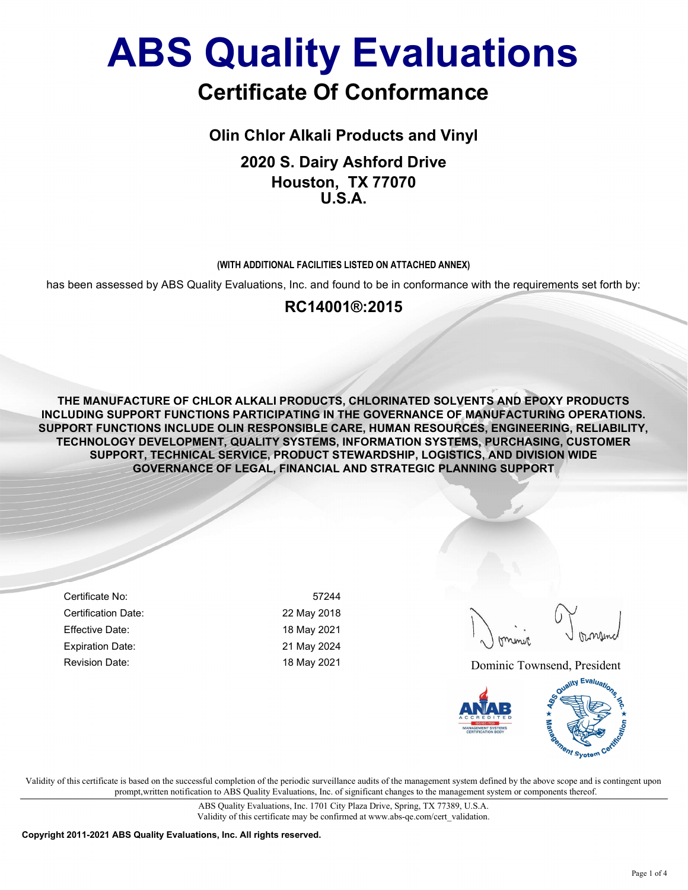## Certificate Of Conformance

Olin Chlor Alkali Products and Vinyl

2020 S. Dairy Ashford Drive Houston, TX 77070 U.S.A.

#### (WITH ADDITIONAL FACILITIES LISTED ON ATTACHED ANNEX)

has been assessed by ABS Quality Evaluations, Inc. and found to be in conformance with the requirements set forth by:

### RC14001®:2015

THE MANUFACTURE OF CHLOR ALKALI PRODUCTS, CHLORINATED SOLVENTS AND EPOXY PRODUCTS INCLUDING SUPPORT FUNCTIONS PARTICIPATING IN THE GOVERNANCE OF MANUFACTURING OPERATIONS. SUPPORT FUNCTIONS INCLUDE OLIN RESPONSIBLE CARE, HUMAN RESOURCES, ENGINEERING, RELIABILITY, TECHNOLOGY DEVELOPMENT, QUALITY SYSTEMS, INFORMATION SYSTEMS, PURCHASING, CUSTOMER SUPPORT, TECHNICAL SERVICE, PRODUCT STEWARDSHIP, LOGISTICS, AND DIVISION WIDE GOVERNANCE OF LEGAL, FINANCIAL AND STRATEGIC PLANNING SUPPORT

Certificate No: 57244 Certification Date: 22 May 2018 Effective Date: 18 May 2021 Expiration Date: 21 May 2024

Revision Date: The Contract of the May 2021 May 2021 2021 Dominic Townsend, President



Validity of this certificate is based on the successful completion of the periodic surveillance audits of the management system defined by the above scope and is contingent upon prompt,written notification to ABS Quality Evaluations, Inc. of significant changes to the management system or components thereof.

> ABS Quality Evaluations, Inc. 1701 City Plaza Drive, Spring, TX 77389, U.S.A. Validity of this certificate may be confirmed at www.abs-qe.com/cert\_validation.

Copyright 2011-2021 ABS Quality Evaluations, Inc. All rights reserved.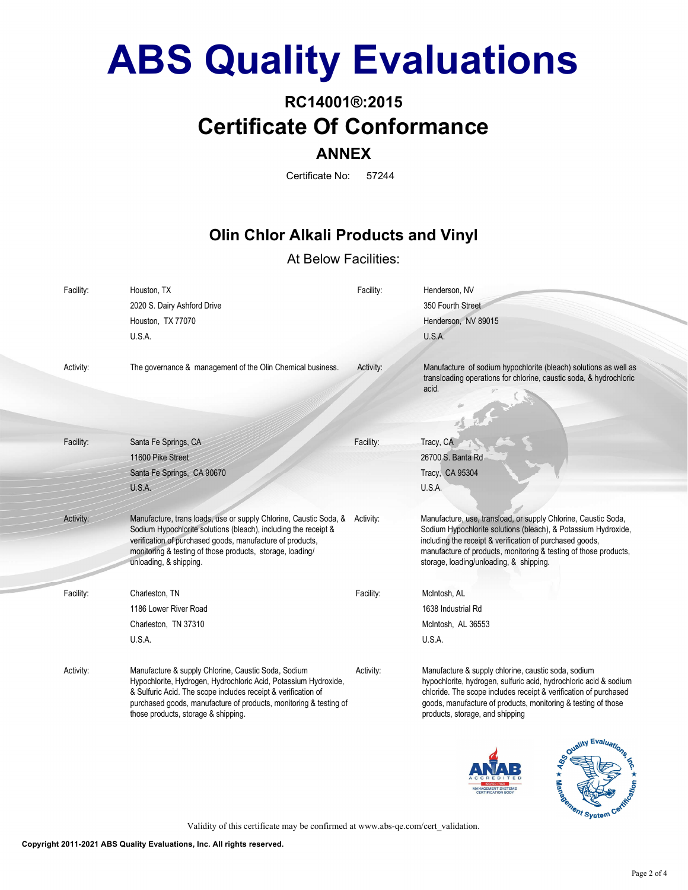### RC14001®:2015 Certificate Of Conformance ANNEX

Certificate No: 57244

### Olin Chlor Alkali Products and Vinyl

#### At Below Facilities:

| Facility: | Houston, TX<br>2020 S. Dairy Ashford Drive<br>Houston, TX 77070<br>U.S.A.                                                                                                                                                                                                                           | Facility: | Henderson, NV<br>350 Fourth Street<br>Henderson, NV 89015<br>U.S.A.                                                                                                                                                                                                                                         |
|-----------|-----------------------------------------------------------------------------------------------------------------------------------------------------------------------------------------------------------------------------------------------------------------------------------------------------|-----------|-------------------------------------------------------------------------------------------------------------------------------------------------------------------------------------------------------------------------------------------------------------------------------------------------------------|
| Activity: | The governance & management of the Olin Chemical business.                                                                                                                                                                                                                                          | Activity: | Manufacture of sodium hypochlorite (bleach) solutions as well as<br>transloading operations for chlorine, caustic soda, & hydrochloric<br>acid.                                                                                                                                                             |
| Facility: | Santa Fe Springs, CA                                                                                                                                                                                                                                                                                | Facility: | Tracy, CA                                                                                                                                                                                                                                                                                                   |
|           | 11600 Pike Street                                                                                                                                                                                                                                                                                   |           | 26700 S. Banta Rd                                                                                                                                                                                                                                                                                           |
|           | Santa Fe Springs, CA 90670                                                                                                                                                                                                                                                                          |           | Tracy, CA 95304                                                                                                                                                                                                                                                                                             |
|           | U.S.A.                                                                                                                                                                                                                                                                                              |           | U.S.A.                                                                                                                                                                                                                                                                                                      |
| Activity: | Manufacture, trans loads, use or supply Chlorine, Caustic Soda, & Activity:<br>Sodium Hypochlorite solutions (bleach), including the receipt &<br>verification of purchased goods, manufacture of products,<br>monitoring & testing of those products, storage, loading/<br>unloading, & shipping.  |           | Manufacture, use, transload, or supply Chlorine, Caustic Soda,<br>Sodium Hypochlorite solutions (bleach), & Potassium Hydroxide,<br>including the receipt & verification of purchased goods,<br>manufacture of products, monitoring & testing of those products,<br>storage, loading/unloading, & shipping. |
| Facility: | Charleston, TN                                                                                                                                                                                                                                                                                      | Facility: | McIntosh, AL                                                                                                                                                                                                                                                                                                |
|           | 1186 Lower River Road                                                                                                                                                                                                                                                                               |           | 1638 Industrial Rd                                                                                                                                                                                                                                                                                          |
|           | Charleston, TN 37310                                                                                                                                                                                                                                                                                |           | McIntosh, AL 36553                                                                                                                                                                                                                                                                                          |
|           | U.S.A.                                                                                                                                                                                                                                                                                              |           | U.S.A.                                                                                                                                                                                                                                                                                                      |
| Activity: | Manufacture & supply Chlorine, Caustic Soda, Sodium<br>Hypochlorite, Hydrogen, Hydrochloric Acid, Potassium Hydroxide,<br>& Sulfuric Acid. The scope includes receipt & verification of<br>purchased goods, manufacture of products, monitoring & testing of<br>those products, storage & shipping. | Activity: | Manufacture & supply chlorine, caustic soda, sodium<br>hypochlorite, hydrogen, sulfuric acid, hydrochloric acid & sodium<br>chloride. The scope includes receipt & verification of purchased<br>goods, manufacture of products, monitoring & testing of those<br>products, storage, and shipping            |





Validity of this certificate may be confirmed at www.abs-qe.com/cert\_validation.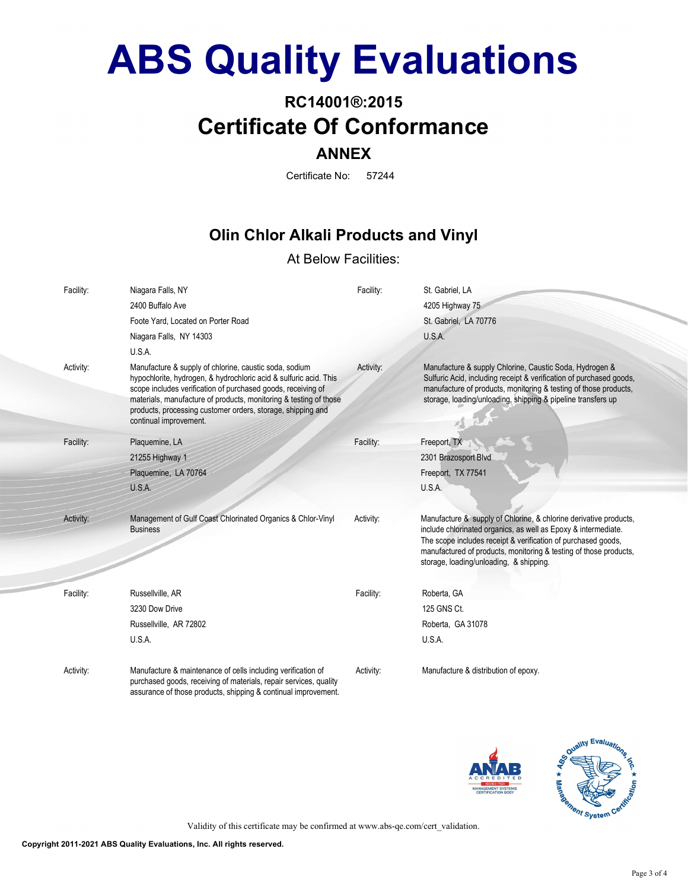### RC14001®:2015 Certificate Of Conformance ANNEX

Certificate No: 57244

### Olin Chlor Alkali Products and Vinyl

#### At Below Facilities:

| Facility: | Niagara Falls, NY                                                                                                                                                                                                                                                                                                                                         | Facility: | St. Gabriel, LA                                                                                                                                                                                                                                                                                                      |
|-----------|-----------------------------------------------------------------------------------------------------------------------------------------------------------------------------------------------------------------------------------------------------------------------------------------------------------------------------------------------------------|-----------|----------------------------------------------------------------------------------------------------------------------------------------------------------------------------------------------------------------------------------------------------------------------------------------------------------------------|
|           | 2400 Buffalo Ave                                                                                                                                                                                                                                                                                                                                          |           | 4205 Highway 75                                                                                                                                                                                                                                                                                                      |
|           | Foote Yard, Located on Porter Road                                                                                                                                                                                                                                                                                                                        |           | St. Gabriel, LA 70776                                                                                                                                                                                                                                                                                                |
|           | Niagara Falls, NY 14303                                                                                                                                                                                                                                                                                                                                   |           | U.S.A.                                                                                                                                                                                                                                                                                                               |
|           | U.S.A.                                                                                                                                                                                                                                                                                                                                                    |           |                                                                                                                                                                                                                                                                                                                      |
| Activity: | Manufacture & supply of chlorine, caustic soda, sodium<br>hypochlorite, hydrogen, & hydrochloric acid & sulfuric acid. This<br>scope includes verification of purchased goods, receiving of<br>materials, manufacture of products, monitoring & testing of those<br>products, processing customer orders, storage, shipping and<br>continual improvement. | Activity: | Manufacture & supply Chlorine, Caustic Soda, Hydrogen &<br>Sulfuric Acid, including receipt & verification of purchased goods,<br>manufacture of products, monitoring & testing of those products,<br>storage, loading/unloading, shipping & pipeline transfers up                                                   |
| Facility: | Plaquemine, LA                                                                                                                                                                                                                                                                                                                                            | Facility: | Freeport, TX                                                                                                                                                                                                                                                                                                         |
|           | 21255 Highway 1                                                                                                                                                                                                                                                                                                                                           |           | 2301 Brazosport Blvd                                                                                                                                                                                                                                                                                                 |
|           | Plaquemine, LA 70764                                                                                                                                                                                                                                                                                                                                      |           | Freeport, TX 77541                                                                                                                                                                                                                                                                                                   |
|           | U.S.A.                                                                                                                                                                                                                                                                                                                                                    |           | U.S.A.                                                                                                                                                                                                                                                                                                               |
| Activity: | Management of Gulf Coast Chlorinated Organics & Chlor-Vinyl<br><b>Business</b>                                                                                                                                                                                                                                                                            | Activity: | Manufacture & supply of Chlorine, & chlorine derivative products,<br>include chlorinated organics, as well as Epoxy & intermediate.<br>The scope includes receipt & verification of purchased goods,<br>manufactured of products, monitoring & testing of those products,<br>storage, loading/unloading, & shipping. |
| Facility: | Russellville, AR                                                                                                                                                                                                                                                                                                                                          | Facility: | Roberta, GA                                                                                                                                                                                                                                                                                                          |
|           | 3230 Dow Drive                                                                                                                                                                                                                                                                                                                                            |           | 125 GNS Ct.                                                                                                                                                                                                                                                                                                          |
|           | Russellville, AR 72802                                                                                                                                                                                                                                                                                                                                    |           | Roberta, GA 31078                                                                                                                                                                                                                                                                                                    |
|           | U.S.A.                                                                                                                                                                                                                                                                                                                                                    |           | U.S.A.                                                                                                                                                                                                                                                                                                               |
| Activity: | Manufacture & maintenance of cells including verification of<br>purchased goods, receiving of materials, repair services, quality<br>assurance of those products, shipping & continual improvement.                                                                                                                                                       | Activity: | Manufacture & distribution of epoxy.                                                                                                                                                                                                                                                                                 |





Validity of this certificate may be confirmed at www.abs-qe.com/cert\_validation.